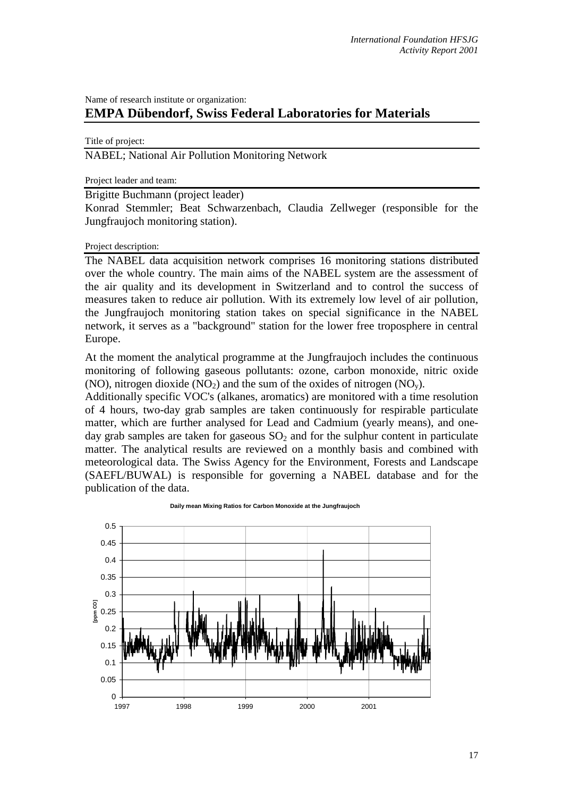## Name of research institute or organization: **EMPA Dübendorf, Swiss Federal Laboratories for Materials**

Title of project:

NABEL; National Air Pollution Monitoring Network

Project leader and team:

Brigitte Buchmann (project leader)

Konrad Stemmler; Beat Schwarzenbach, Claudia Zellweger (responsible for the Jungfraujoch monitoring station).

Project description:

The NABEL data acquisition network comprises 16 monitoring stations distributed over the whole country. The main aims of the NABEL system are the assessment of the air quality and its development in Switzerland and to control the success of measures taken to reduce air pollution. With its extremely low level of air pollution, the Jungfraujoch monitoring station takes on special significance in the NABEL network, it serves as a "background" station for the lower free troposphere in central Europe.

At the moment the analytical programme at the Jungfraujoch includes the continuous monitoring of following gaseous pollutants: ozone, carbon monoxide, nitric oxide (NO), nitrogen dioxide (NO<sub>2</sub>) and the sum of the oxides of nitrogen (NO<sub>y</sub>).

Additionally specific VOC's (alkanes, aromatics) are monitored with a time resolution of 4 hours, two-day grab samples are taken continuously for respirable particulate matter, which are further analysed for Lead and Cadmium (yearly means), and oneday grab samples are taken for gaseous  $SO<sub>2</sub>$  and for the sulphur content in particulate matter. The analytical results are reviewed on a monthly basis and combined with meteorological data. The Swiss Agency for the Environment, Forests and Landscape (SAEFL/BUWAL) is responsible for governing a NABEL database and for the publication of the data.



**Daily mean Mixing Ratios for Carbon Monoxide at the Jungfraujoch**